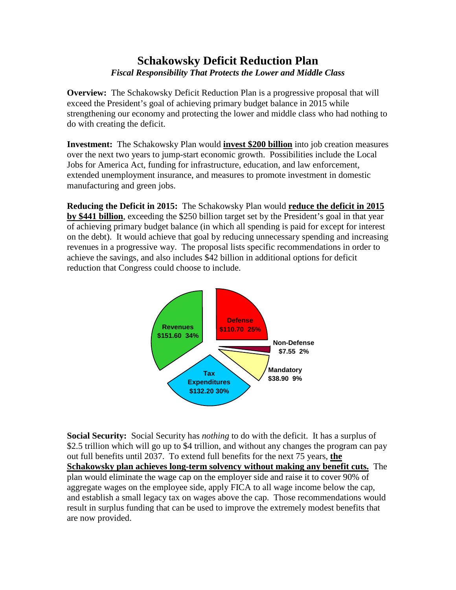## **Schakowsky Deficit Reduction Plan**  *Fiscal Responsibility That Protects the Lower and Middle Class*

**Overview:** The Schakowsky Deficit Reduction Plan is a progressive proposal that will exceed the President's goal of achieving primary budget balance in 2015 while strengthening our economy and protecting the lower and middle class who had nothing to do with creating the deficit.

**Investment:** The Schakowsky Plan would **invest \$200 billion** into job creation measures over the next two years to jump-start economic growth. Possibilities include the Local Jobs for America Act, funding for infrastructure, education, and law enforcement, extended unemployment insurance, and measures to promote investment in domestic manufacturing and green jobs.

**Reducing the Deficit in 2015:** The Schakowsky Plan would **reduce the deficit in 2015 by \$441 billion**, exceeding the \$250 billion target set by the President's goal in that year of achieving primary budget balance (in which all spending is paid for except for interest on the debt). It would achieve that goal by reducing unnecessary spending and increasing revenues in a progressive way. The proposal lists specific recommendations in order to achieve the savings, and also includes \$42 billion in additional options for deficit reduction that Congress could choose to include.



**Social Security:** Social Security has *nothing* to do with the deficit. It has a surplus of \$2.5 trillion which will go up to \$4 trillion, and without any changes the program can pay out full benefits until 2037. To extend full benefits for the next 75 years, **the Schakowsky plan achieves long-term solvency without making any benefit cuts.** The plan would eliminate the wage cap on the employer side and raise it to cover 90% of aggregate wages on the employee side, apply FICA to all wage income below the cap, and establish a small legacy tax on wages above the cap. Those recommendations would result in surplus funding that can be used to improve the extremely modest benefits that are now provided.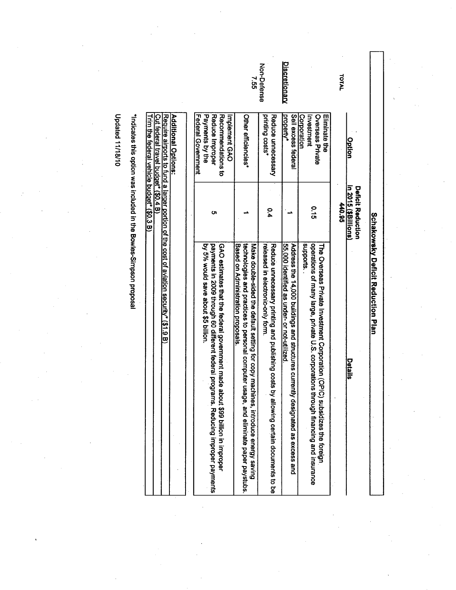**Schakowsky Deficit Reduction Plan** 

|                      | Option                                                                                          | in 2015 (\$Billions)<br><b>Deficit Reduction</b> | Details                                                                                                                                                                                                                    |
|----------------------|-------------------------------------------------------------------------------------------------|--------------------------------------------------|----------------------------------------------------------------------------------------------------------------------------------------------------------------------------------------------------------------------------|
| <b>TOTAL</b>         |                                                                                                 | 440.95                                           |                                                                                                                                                                                                                            |
|                      | Corporation<br>Eliminate the<br>Overseas Private<br>Inethnent                                   | $\frac{0}{5}$                                    | supports.<br>perations of many large, private U.S. corporations<br>The Overseas Private Investment Corporation (CPIC) subsidizes the toreign<br>through financing and insurance                                            |
| <u>Discretionary</u> | Sell excess federal<br>property <sup>*</sup>                                                    |                                                  | 55,000 identified as under- or not-utilized<br>Address the 14,000 buildings and structures currently designated as excess and                                                                                              |
| Non-Defense          | printing costs"<br>Reduce unnecessary                                                           | $\frac{0.4}{4}$                                  | Reduce unnecessary printing and publishing costs by allowing certain documents to be<br>released in electronic-only torm.                                                                                                  |
| יט<br>ט              | Other efficiencies,                                                                             |                                                  | technologies and practices to personal computer usage, and eliminate paper paystubs<br>Based on Administration proposals.<br>Make double-sided the default setting for copy machines, introduce energy saving              |
|                      | Federal Government<br>Payments by the<br>Recommendations to<br>Reduce Improper<br>Implement GAO | ທ                                                | <b>PA 9% XOLIQ save aport \$3 million</b><br>payments in 2009 through 60 different federal progra<br>GAO estimates that the federal government made al<br>bout \$99 billion in improper<br>ims. Reducing improper payments |
|                      |                                                                                                 |                                                  |                                                                                                                                                                                                                            |

| Additional Options:<br>| Require airports to fund a larger portion of the cost of aviation security\* (\$1.9 B)<br>| Trim the federal vehicle budget\* (\$0.3 B)<br>| Trim the federal vehicle budget\* (\$0.3 B)

"Indicates this option was included in the Bowles-Simpson proposal

**Updated 11/18/10**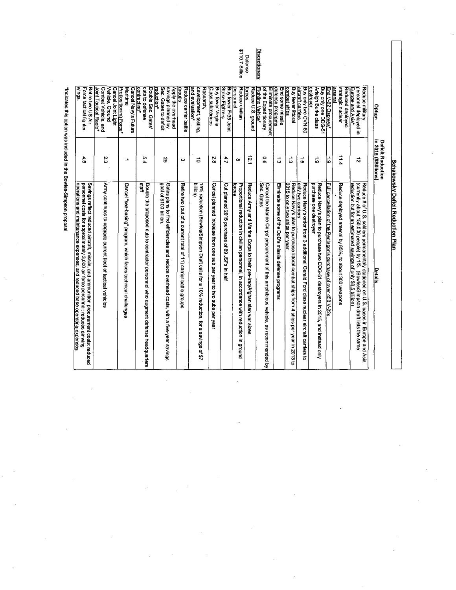| <u>Option</u>                                                                               | in 2015 (\$Billions)<br><b>Deficit Reduction</b> | Details                                                                                                                                                                                                                                           |
|---------------------------------------------------------------------------------------------|--------------------------------------------------|---------------------------------------------------------------------------------------------------------------------------------------------------------------------------------------------------------------------------------------------------|
|                                                                                             |                                                  |                                                                                                                                                                                                                                                   |
| Reduce military<br>personnel deployed in<br>Europe and Asia*                                | ನ                                                | (currently about 150,000 people) by 1/3.<br>Reduce # of U.S. soldiers permanentaly stationed on U.S. bases in Europe and<br>reduction but for an estimated savings of only \$8.5 billion)<br>(Bowles/Simpson draft lists the same<br>Asia         |
| arsena<br>strategic nuclear<br>Reduced deployed                                             | 11.4                                             | Reduce deployed arsenal by 85%, to about 300 weapons                                                                                                                                                                                              |
| End V-22 Ospreys*                                                                           | <br>ت                                            | Full cancellation of the Pentagon's purchase of over 450 V-22s                                                                                                                                                                                    |
| <u>destroyer</u><br>Arleigh Burke class<br>Buy only one DDG-51                              | <u>:</u>                                         | purchase one destroyer<br>Reduce Navy's plan to purchase two DDG-51 destroyers in 2015, and instead only                                                                                                                                          |
| aircraft carriers<br>Buy only two CVN-80                                                    | $\vec{a}$                                        | only two carriers<br>Reduce Navy's order from 3 additional Gerald Ford class nuclear aircraft camers<br>ಕ                                                                                                                                         |
| combat ships<br>Buy fewer littoral                                                          | بـ<br>ما                                         | 2015 to only two ships per year<br>Reduce Navy's plan to purchase littoral combat ships from 4 ships per year in 2013 to                                                                                                                          |
| defense programs<br>End some missile                                                        | ᅭ<br>ىن                                          | Eliminate some of the DoD's missile defense programs                                                                                                                                                                                              |
| of the Expeditionary<br>Fighting Vehice*<br>Eliminate procurement                           | o.o                                              | Sec. Gates<br>Cancel the Marine Corps' procurement of this amphibious vehicle, as recommended by                                                                                                                                                  |
| Reduce U.S. ground<br><b>SeQIO</b>                                                          | 12.1                                             | Reduce Army and Marine Corps to their pre-Iraq/Afghanistan war sizes                                                                                                                                                                              |
| Reduce civilian<br>personne                                                                 | $\bullet$                                        | Proportional reduction in civilian personnel, in accordance with reduction in ground<br>torces                                                                                                                                                    |
| <b>Strike Fighters</b><br>Buy fewer F-35 Joint                                              | 4,7                                              | Cut planned 2015 purchase of 89 JSFs in hall                                                                                                                                                                                                      |
| Buy fewer Virginia<br>Class submarines                                                      | $\frac{2}{9}$                                    | Cancel planned increase from one sub per year to two subs per year                                                                                                                                                                                |
| and evaluation*<br>development, testing<br>Research,                                        | ਠ                                                | pillia<br>15% reduction (Bowles/Simpson Draft calls for a 10% reduction, for a savings of \$7                                                                                                                                                     |
| sanoub<br>Reduce carrier battle                                                             | ω                                                | Retire two (out of a current total of 11) carrier battle groups                                                                                                                                                                                   |
| Sec. Gates to deficit<br>savings planned by<br>Apply the overhead<br>reduction <sup>*</sup> | ន                                                | goal of \$100 billion.<br>Gates plans to find efficiencies and reduce overhead costs, with a five-year savings                                                                                                                                    |
| cuts to defense<br>contracting*<br>Double Sec. Gates                                        | cn<br>.<br>د                                     | staff<br>Double the proposed cuts to contractor personnel who augment defense headquarters                                                                                                                                                        |
| Prepositioning Force*<br>Maritime<br><b>Cancel Navy's Future</b>                            | ∸                                                | Cancel "sea-basing" program, which faces technical challenges                                                                                                                                                                                     |
| Combat Vehicle, and<br>Vehicle, Ground<br>Cancel Joint Light<br>Joint Tactical Radio*       | 23                                               | Army continues to upgrade current fleet of tactical vehicles                                                                                                                                                                                      |
| Force tactical fighter<br>Retire two US Air<br>wings.                                       | 4.5                                              | personnel costs for approximately 3,000 air force personnel; reduced air wing<br>Savings reflect reduced aircraft, missile, and ammunition procurement costs; reduced<br>operations and maintenance expenses; and reduced base operating expenses |

Schakowsky Deficit Reduction Plan

"Indicates this option was included in the Bowles-Simpson proposal

Defense<br>\$110.7 Billion **Discretionary**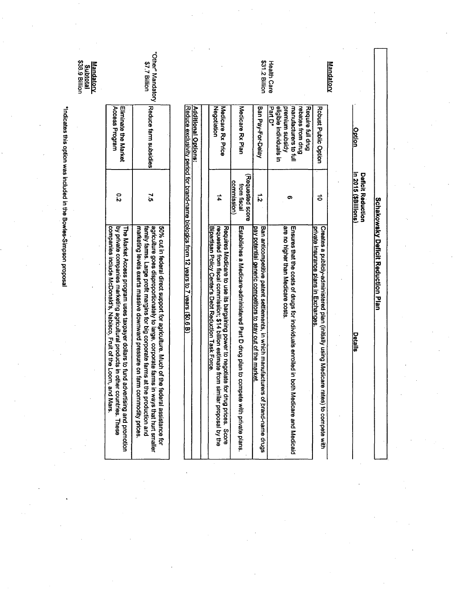| Mandatory                        |                                                                 |                                                |                                                                                                                                                                                                                                                                            |
|----------------------------------|-----------------------------------------------------------------|------------------------------------------------|----------------------------------------------------------------------------------------------------------------------------------------------------------------------------------------------------------------------------------------------------------------------------|
|                                  | Robust Public Option                                            | ื่อ                                            | Creates a publicly-administered plan (initially using Medicare ra<br>private insurance plans in Exchanges.<br>tes) to compete with                                                                                                                                         |
|                                  | manufacturers to full<br>Require full drug<br>rebates from drug | Ω                                              | Ensures that the costs of drugs for individuals enrolled in both<br>Medicare and Medicaid                                                                                                                                                                                  |
| <b>Health Care</b>               | eligibie individuals in<br>premium subsidy<br>Part D'           |                                                | are no higher than Medicare costs.                                                                                                                                                                                                                                         |
| \$31.2 Billion                   | Ban Pay-For-Delay                                               | $\vec{v}$                                      | Ban anticompetitive patent settlements, in which manufacturers of brand-name drugs<br>pay potential generic competitors to stay out of the market.                                                                                                                         |
|                                  | Medicate KX Plan                                                | (Requested score<br>commission)<br>from fiscal | Establishes a Medicare-administered Part D drug plan to compete with private plans.                                                                                                                                                                                        |
|                                  | <b>Medicate KX Price</b><br>Negotlation                         | #                                              | Bipartisan Policy Center's Debt Reduction Task Force<br>Requires Medicare to use its bargaining power to negotiate for<br>requested from fiscal commission; \$14 billion estimate from similar proposal by the<br>drug prices. Score                                       |
|                                  | <b>Additional Options:</b>                                      |                                                |                                                                                                                                                                                                                                                                            |
|                                  |                                                                 |                                                | Reduce exclusivity period for brand-name biologics from 12 years to 7 years (\$0.6 B)                                                                                                                                                                                      |
| ther" Mandatory<br>\$7.7 Billion | Reduce farm subsidies                                           | $\ddot{\ddot{\delta}}$                         | agriculture goes disproportionately to large, corporate farms in<br>50% cut in federal direct support for agriculture. Much of the federal assistance for<br>family farms. Large profit margins for big corporate farms at the<br>ways that hurt smaller<br>production and |

"Indicates this option was included in the Bowles-Simpson proposal

Mandatory<br>Subtotal<br>\$38.9 Billion

"Other" Mandatory |Reduce farm subsidies|<br>\$7.7 Billion

Eliminate the Market<br>Access Program

 $\overline{c}$ 

The Market Access program uses taxpayer dollars to fund advertising and promotion<br>by private companies marketing agricultural products in other countries. These<br>|companies include McDonald's, Nabisco, Fruit of the Loom, an

marketing levels exerts massive downward pressure on farm commodity prices.

Option **Deficit Reduction<br>In 2015 (\$Billions)** 

**Schakowsky Deficit Reduction Plan** 

<u>Details</u>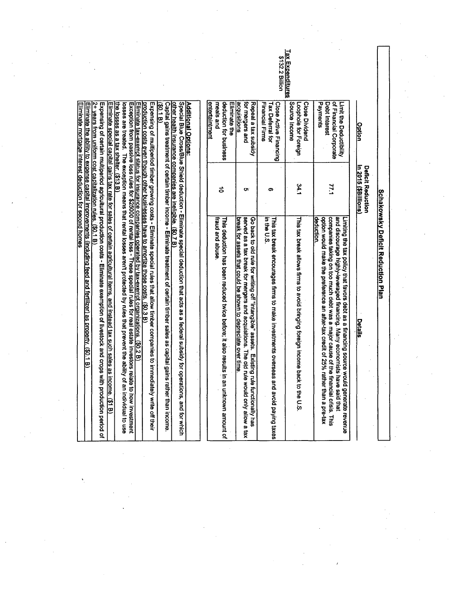Close Dividend of Financial Corporate Eliminate the Source Income meals and deduction for business <u>acquisitions</u> for mergers and Repeal a tax subsidy Financial Firms Tax Deferral for Close Active Financing Loophole for Foreign Payments Debt Interest Limit the Deductibility <u>Option</u> Deficit Reduction<br>in 2015 (\$Billions) 77.1 34.1 ಕ o. .တ This tax break allows firms to avoid bringing foreign income back to the U.S companies taking on too much debt was a major cause of the financial crisis. This and discourage highly-leveraged financing. Many economists have said that fraud and abuse This deduction has been reduced twice before; it also results in an unknown amount of Go back to old rule for writing off "intangible" assets. Existing rule functionally has<br>served as a tax break for mergers and acquisitions. The old rule would only allow a tax in the U.S This tax break encourages firms to make investments overseas and avoid paying taxes option would make the preference an after-tax credit of 25% rather than a pre-tax Limiting the tax policy that favors debt as a financing source would generate revenue break for assets that could be shown to depreciate over time leduction **Details** 

**Schakowsky Deficit Reduction Plan** 

## **Additional Options:**

entertaintmen

<u>other health insurance companies are Ineligible. (\$0.7 B).</u><br>Capital gains treatment of certain timber income - Eliminate treatment of certain timber sales as capital gains rather than income. Special Blue Cross/Blue Shield deduction - Eliminate special deduction that acts as a federal subsidy for operations, and for which

 $30.1 B$ 

Expensing of multiperiod timber growing costs - Eliminate special rules that allow timber companies to immediately write off their potuction costs even though other businesses have to amortize those costs. (\$0.3 B)

<u>Eliminate tax-exempt status for insurance companies operated by tax-exempt organizations. (\$0.2 B)</u><br>Exception from passive loss rules for \$25000 of rental loss - These special rules for real estate investors relate to how

losses are treated. The exception means that rental losses aren't protected by rules that prevent the ability of an individual to use le losses as a tax shelter. (\$13 B)

Expensing of certain multiperiod agricultural production costs - Eliminate exemption of livestock and crops with production period of iminate special capital gains tax rate for sales of certain agricultural items, and instead tax such sales as income. (\$1 B)

2+ years from uniform cost capitalization rules. (\$0.1 B)

iminate the ability to expense capital improvements (including feed and fertilizer) as property. (\$0.1 B)

<u>iminate mortgage interest deduction for second homes</u>

Tax Expenditures \$132.2 Bilion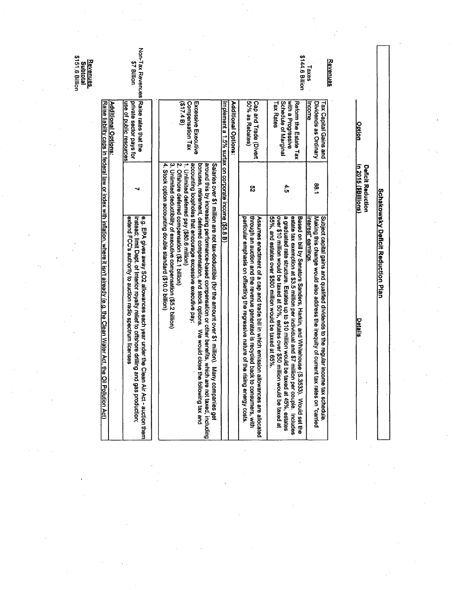| Subtotal<br>\$151.6 Billion<br><b>Revenues</b> |                                                                                                                                          | Non-Tax Revenues<br>\$7 Billion                                                                                                                                                                                                                  |                                                                                                                                                                                                                                                                                                                                                                                                                                                                                                                                                                                                                                 |                                                                             |                                                                                                                                                                                                                                 | \$144.6 Billion                                                                                                                                                                                                                                                                                                                                                                            | Revenues<br>$T$ axes                                                                                                                                                                               |                                                  |                                   |  |
|------------------------------------------------|------------------------------------------------------------------------------------------------------------------------------------------|--------------------------------------------------------------------------------------------------------------------------------------------------------------------------------------------------------------------------------------------------|---------------------------------------------------------------------------------------------------------------------------------------------------------------------------------------------------------------------------------------------------------------------------------------------------------------------------------------------------------------------------------------------------------------------------------------------------------------------------------------------------------------------------------------------------------------------------------------------------------------------------------|-----------------------------------------------------------------------------|---------------------------------------------------------------------------------------------------------------------------------------------------------------------------------------------------------------------------------|--------------------------------------------------------------------------------------------------------------------------------------------------------------------------------------------------------------------------------------------------------------------------------------------------------------------------------------------------------------------------------------------|----------------------------------------------------------------------------------------------------------------------------------------------------------------------------------------------------|--------------------------------------------------|-----------------------------------|--|
|                                                | <b>Additional Options:</b>                                                                                                               | Raise rates that the<br>private sector pays for<br><u>use of public resources</u>                                                                                                                                                                | Compensation Tax<br>Excessive Executive<br>(517.4 B)                                                                                                                                                                                                                                                                                                                                                                                                                                                                                                                                                                            | Additional Options:<br>mplement a 1.5% surtax on corporate income (\$5.8 B) | Cap and Trade (Divert<br>50% as Rebates)                                                                                                                                                                                        | with a Progressive<br>Schedule of Marginal<br>Reform the Estate Tax<br><b>Tax Rates</b>                                                                                                                                                                                                                                                                                                    | Dividends as Ordinary<br>Tax Capital Gains and<br>ncome                                                                                                                                            | <u>Option</u>                                    |                                   |  |
|                                                |                                                                                                                                          | ⊣                                                                                                                                                                                                                                                | 4.                                                                                                                                                                                                                                                                                                                                                                                                                                                                                                                                                                                                                              |                                                                             | ပ္လ                                                                                                                                                                                                                             | 4:5                                                                                                                                                                                                                                                                                                                                                                                        | 68.1                                                                                                                                                                                               | in 2015 (\$Billions)<br><b>Deficit Reduction</b> |                                   |  |
|                                                | Raise liability caps in federal law or index with inflation, where it isn't already (e.g. the Clean<br>Water Act, the Oil Pollution Act) | extend FCC's authority to auction radio spectru<br>instead; limit Dept. of Interior royalty relief to offshore drilling and gas production;<br>e.g. EPA gives away SO2 allowances each year under the Clean Air Act - auction them<br>m licenses | accounting loopholes that encourage excessive executive pay:<br>bonuses, retirement, deferred compensation, and stock options. We would close the following tax and<br>1. Unlimited deferred pay (\$80.6 million)<br>around this by increasing performance-based compensation or other benefits, which are not taxed, including<br>2. Offshore deferred compensation (\$2.1 billion)<br>Salaries over \$1 million are not tax-deductible (for the amount over \$1 million). Many companies get<br>Stock option accounting double standard (\$10.0 billion)<br>Uniinited deductibility of executive compensation (\$5.2 billion) |                                                                             | through an auction and the revenue generated<br>particular emphasis on offsetting the regressive<br>Assumes enactment of a cap and trade bill in w<br>is recycled back to consumers, with<br>nature of the rising energy costs. | over \$10 million would be taxed at 50%, estates over \$50 million would be taxed at<br>a graduated rate structure. Estates up to \$10 million would be taxed at 45%, estates<br>estate tax exemption at \$3.5 million per individual and \$7 million per couple. Includes<br>Based on bill by Senators Sanders, Harkin, and<br>55%, and estates over \$500 million would be taxed at 65%. | Making this change would also address the inequity of current tax rates on "carried<br>Subject capital gains and qualified dividends to<br>interest" earnings.<br>the regular income tax schedule. | <u>Details</u>                                   | Schakowsky Deficit Reduction Plan |  |
|                                                |                                                                                                                                          |                                                                                                                                                                                                                                                  |                                                                                                                                                                                                                                                                                                                                                                                                                                                                                                                                                                                                                                 |                                                                             | hich emission allowances are allocated                                                                                                                                                                                          | Whitehouse (S.3533). Would set the                                                                                                                                                                                                                                                                                                                                                         |                                                                                                                                                                                                    |                                                  |                                   |  |
|                                                |                                                                                                                                          |                                                                                                                                                                                                                                                  |                                                                                                                                                                                                                                                                                                                                                                                                                                                                                                                                                                                                                                 |                                                                             |                                                                                                                                                                                                                                 |                                                                                                                                                                                                                                                                                                                                                                                            |                                                                                                                                                                                                    |                                                  |                                   |  |

 $\mathcal{L}(\mathcal{M})$  .

 $\label{eq:2} \frac{1}{\sqrt{2}}\sum_{i=1}^n\frac{1}{\sqrt{2}}\sum_{i=1}^n\frac{1}{\sqrt{2}}\sum_{i=1}^n\frac{1}{\sqrt{2}}\sum_{i=1}^n\frac{1}{\sqrt{2}}\sum_{i=1}^n\frac{1}{\sqrt{2}}\sum_{i=1}^n\frac{1}{\sqrt{2}}\sum_{i=1}^n\frac{1}{\sqrt{2}}\sum_{i=1}^n\frac{1}{\sqrt{2}}\sum_{i=1}^n\frac{1}{\sqrt{2}}\sum_{i=1}^n\frac{1}{\sqrt{2}}\sum_{i=1}^n\frac{1$